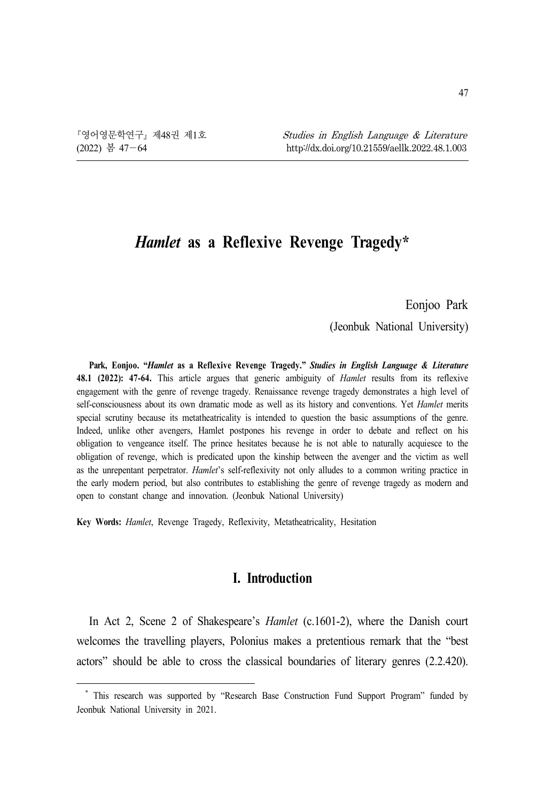# *Hamlet* **as a Reflexive Revenge Tragedy\*<sup>1</sup>**

Eonjoo Park

(Jeonbuk National University)

**Park, Eonjoo. "***Hamlet* **as a Reflexive Revenge Tragedy."** *Studies in English Language & Literature*  **48.1 (2022): 47-64.** This article argues that generic ambiguity of *Hamlet* results from its reflexive engagement with the genre of revenge tragedy. Renaissance revenge tragedy demonstrates a high level of self-consciousness about its own dramatic mode as well as its history and conventions. Yet *Hamlet* merits special scrutiny because its metatheatricality is intended to question the basic assumptions of the genre. Indeed, unlike other avengers, Hamlet postpones his revenge in order to debate and reflect on his obligation to vengeance itself. The prince hesitates because he is not able to naturally acquiesce to the obligation of revenge, which is predicated upon the kinship between the avenger and the victim as well as the unrepentant perpetrator. *Hamlet*'s self-reflexivity not only alludes to a common writing practice in the early modern period, but also contributes to establishing the genre of revenge tragedy as modern and open to constant change and innovation. (Jeonbuk National University)

**Key Words:** *Hamlet*, Revenge Tragedy, Reflexivity, Metatheatricality, Hesitation

### **I. Introduction**

In Act 2, Scene 2 of Shakespeare's *Hamlet* (c.1601-2), where the Danish court welcomes the travelling players, Polonius makes a pretentious remark that the "best actors" should be able to cross the classical boundaries of literary genres (2.2.420).

\* This research was supported by "Research Base Construction Fund Support Program" funded by Jeonbuk National University in 2021.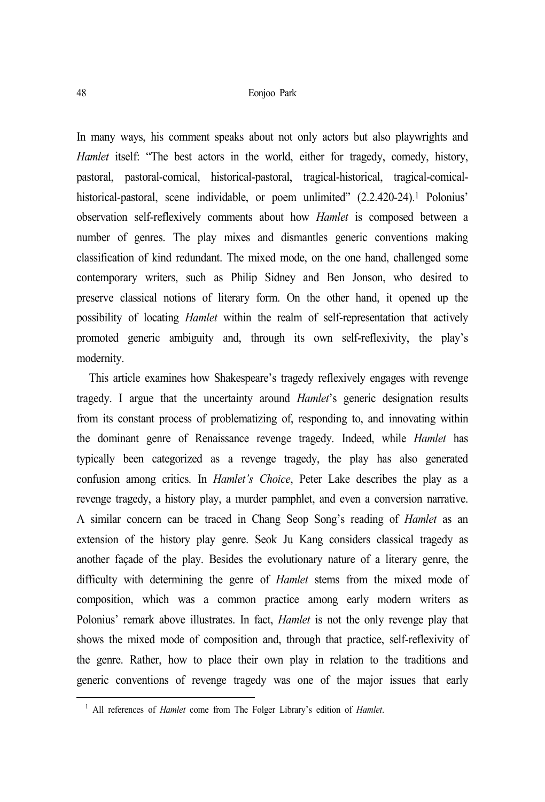In many ways, his comment speaks about not only actors but also playwrights and *Hamlet* itself: "The best actors in the world, either for tragedy, comedy, history, pastoral, pastoral-comical, historical-pastoral, tragical-historical, tragical-comicalhistorical-pastoral, scene individable, or poem unlimited" (2.2.420-24).<sup>1</sup> Polonius' observation self-reflexively comments about how *Hamlet* is composed between a number of genres. The play mixes and dismantles generic conventions making classification of kind redundant. The mixed mode, on the one hand, challenged some contemporary writers, such as Philip Sidney and Ben Jonson, who desired to preserve classical notions of literary form. On the other hand, it opened up the possibility of locating *Hamlet* within the realm of self-representation that actively promoted generic ambiguity and, through its own self-reflexivity, the play's modernity.

This article examines how Shakespeare's tragedy reflexively engages with revenge tragedy. I argue that the uncertainty around *Hamlet*'s generic designation results from its constant process of problematizing of, responding to, and innovating within the dominant genre of Renaissance revenge tragedy. Indeed, while *Hamlet* has typically been categorized as a revenge tragedy, the play has also generated confusion among critics. In *Hamlet's Choice*, Peter Lake describes the play as a revenge tragedy, a history play, a murder pamphlet, and even a conversion narrative. A similar concern can be traced in Chang Seop Song's reading of *Hamlet* as an extension of the history play genre. Seok Ju Kang considers classical tragedy as another façade of the play. Besides the evolutionary nature of a literary genre, the difficulty with determining the genre of *Hamlet* stems from the mixed mode of composition, which was a common practice among early modern writers as Polonius' remark above illustrates. In fact, *Hamlet* is not the only revenge play that shows the mixed mode of composition and, through that practice, self-reflexivity of the genre. Rather, how to place their own play in relation to the traditions and generic conventions of revenge tragedy was one of the major issues that early

<sup>1</sup> All references of *Hamlet* come from The Folger Library's edition of *Hamlet*.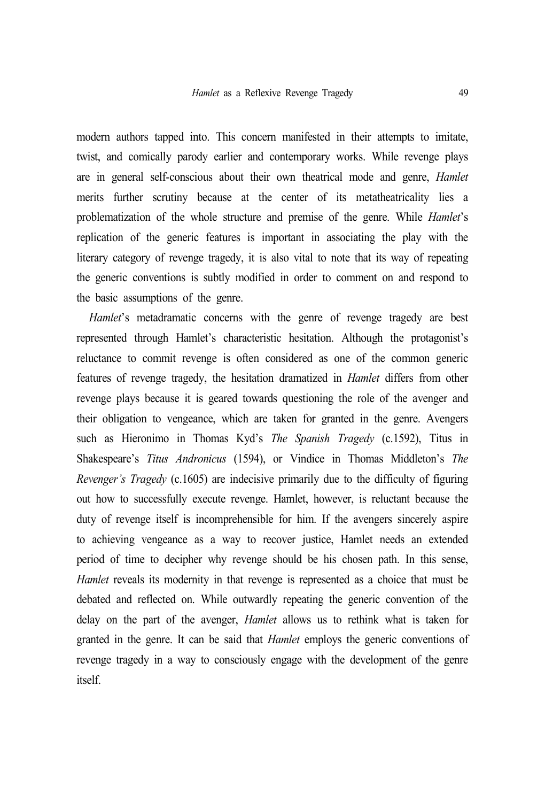modern authors tapped into. This concern manifested in their attempts to imitate, twist, and comically parody earlier and contemporary works. While revenge plays are in general self-conscious about their own theatrical mode and genre, *Hamlet*  merits further scrutiny because at the center of its metatheatricality lies a problematization of the whole structure and premise of the genre. While *Hamlet*'s replication of the generic features is important in associating the play with the literary category of revenge tragedy, it is also vital to note that its way of repeating the generic conventions is subtly modified in order to comment on and respond to the basic assumptions of the genre.

*Hamlet*'s metadramatic concerns with the genre of revenge tragedy are best represented through Hamlet's characteristic hesitation. Although the protagonist's reluctance to commit revenge is often considered as one of the common generic features of revenge tragedy, the hesitation dramatized in *Hamlet* differs from other revenge plays because it is geared towards questioning the role of the avenger and their obligation to vengeance, which are taken for granted in the genre. Avengers such as Hieronimo in Thomas Kyd's *The Spanish Tragedy* (c.1592), Titus in Shakespeare's *Titus Andronicus* (1594), or Vindice in Thomas Middleton's *The Revenger's Tragedy* (c.1605) are indecisive primarily due to the difficulty of figuring out how to successfully execute revenge. Hamlet, however, is reluctant because the duty of revenge itself is incomprehensible for him. If the avengers sincerely aspire to achieving vengeance as a way to recover justice, Hamlet needs an extended period of time to decipher why revenge should be his chosen path. In this sense, *Hamlet* reveals its modernity in that revenge is represented as a choice that must be debated and reflected on. While outwardly repeating the generic convention of the delay on the part of the avenger, *Hamlet* allows us to rethink what is taken for granted in the genre. It can be said that *Hamlet* employs the generic conventions of revenge tragedy in a way to consciously engage with the development of the genre itself.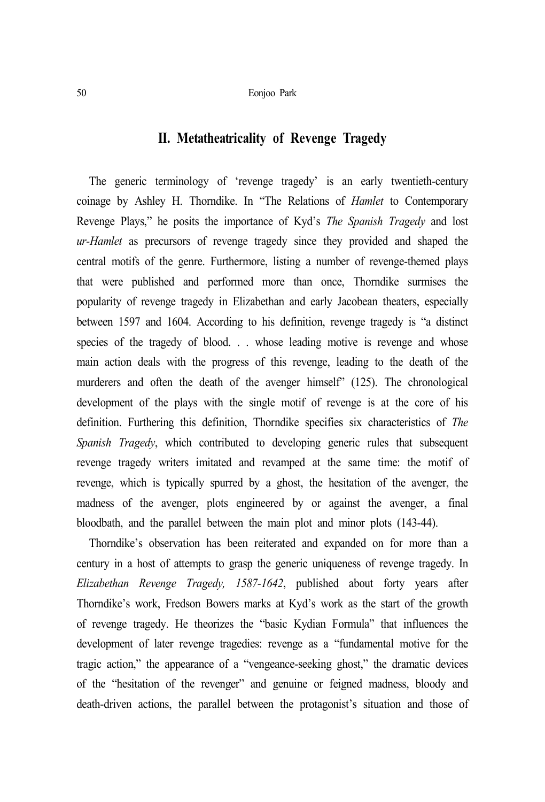# **II. Metatheatricality of Revenge Tragedy**

The generic terminology of 'revenge tragedy' is an early twentieth-century coinage by Ashley H. Thorndike. In "The Relations of *Hamlet* to Contemporary Revenge Plays," he posits the importance of Kyd's *The Spanish Tragedy* and lost *ur-Hamlet* as precursors of revenge tragedy since they provided and shaped the central motifs of the genre. Furthermore, listing a number of revenge-themed plays that were published and performed more than once, Thorndike surmises the popularity of revenge tragedy in Elizabethan and early Jacobean theaters, especially between 1597 and 1604. According to his definition, revenge tragedy is "a distinct species of the tragedy of blood. . . whose leading motive is revenge and whose main action deals with the progress of this revenge, leading to the death of the murderers and often the death of the avenger himself" (125). The chronological development of the plays with the single motif of revenge is at the core of his definition. Furthering this definition, Thorndike specifies six characteristics of *The Spanish Tragedy*, which contributed to developing generic rules that subsequent revenge tragedy writers imitated and revamped at the same time: the motif of revenge, which is typically spurred by a ghost, the hesitation of the avenger, the madness of the avenger, plots engineered by or against the avenger, a final bloodbath, and the parallel between the main plot and minor plots (143-44).

Thorndike's observation has been reiterated and expanded on for more than a century in a host of attempts to grasp the generic uniqueness of revenge tragedy. In *Elizabethan Revenge Tragedy, 1587-1642*, published about forty years after Thorndike's work, Fredson Bowers marks at Kyd's work as the start of the growth of revenge tragedy. He theorizes the "basic Kydian Formula" that influences the development of later revenge tragedies: revenge as a "fundamental motive for the tragic action," the appearance of a "vengeance-seeking ghost," the dramatic devices of the "hesitation of the revenger" and genuine or feigned madness, bloody and death-driven actions, the parallel between the protagonist's situation and those of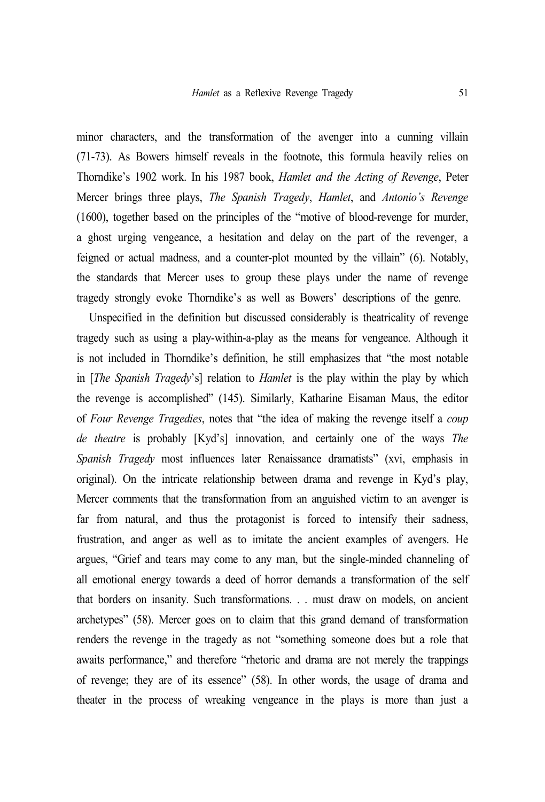minor characters, and the transformation of the avenger into a cunning villain (71-73). As Bowers himself reveals in the footnote, this formula heavily relies on Thorndike's 1902 work. In his 1987 book, *Hamlet and the Acting of Revenge*, Peter Mercer brings three plays, *The Spanish Tragedy*, *Hamlet*, and *Antonio's Revenge* (1600), together based on the principles of the "motive of blood-revenge for murder, a ghost urging vengeance, a hesitation and delay on the part of the revenger, a feigned or actual madness, and a counter-plot mounted by the villain" (6). Notably, the standards that Mercer uses to group these plays under the name of revenge tragedy strongly evoke Thorndike's as well as Bowers' descriptions of the genre.

Unspecified in the definition but discussed considerably is theatricality of revenge tragedy such as using a play-within-a-play as the means for vengeance. Although it is not included in Thorndike's definition, he still emphasizes that "the most notable in [*The Spanish Tragedy*'s] relation to *Hamlet* is the play within the play by which the revenge is accomplished" (145). Similarly, Katharine Eisaman Maus, the editor of *Four Revenge Tragedies*, notes that "the idea of making the revenge itself a *coup de theatre* is probably [Kyd's] innovation, and certainly one of the ways *The Spanish Tragedy* most influences later Renaissance dramatists" (xvi, emphasis in original). On the intricate relationship between drama and revenge in Kyd's play, Mercer comments that the transformation from an anguished victim to an avenger is far from natural, and thus the protagonist is forced to intensify their sadness, frustration, and anger as well as to imitate the ancient examples of avengers. He argues, "Grief and tears may come to any man, but the single-minded channeling of all emotional energy towards a deed of horror demands a transformation of the self that borders on insanity. Such transformations. . . must draw on models, on ancient archetypes" (58). Mercer goes on to claim that this grand demand of transformation renders the revenge in the tragedy as not "something someone does but a role that awaits performance," and therefore "rhetoric and drama are not merely the trappings of revenge; they are of its essence" (58). In other words, the usage of drama and theater in the process of wreaking vengeance in the plays is more than just a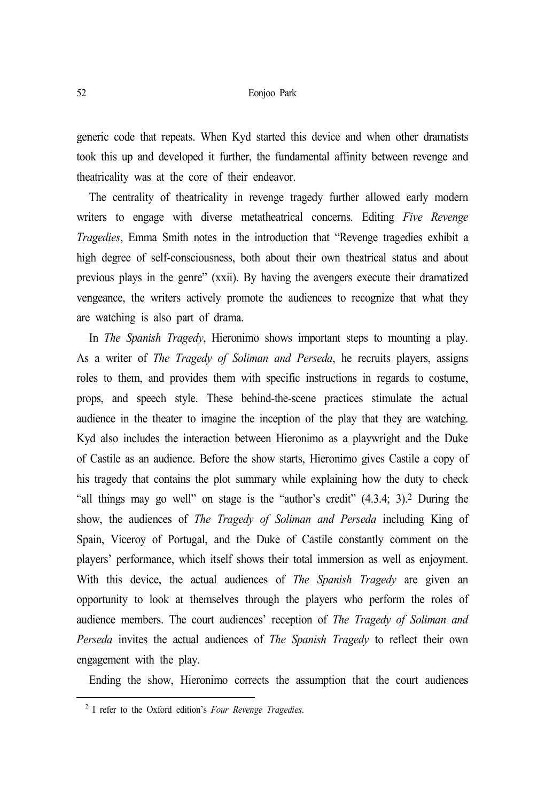generic code that repeats. When Kyd started this device and when other dramatists took this up and developed it further, the fundamental affinity between revenge and theatricality was at the core of their endeavor.

The centrality of theatricality in revenge tragedy further allowed early modern writers to engage with diverse metatheatrical concerns. Editing *Five Revenge Tragedies*, Emma Smith notes in the introduction that "Revenge tragedies exhibit a high degree of self-consciousness, both about their own theatrical status and about previous plays in the genre" (xxii). By having the avengers execute their dramatized vengeance, the writers actively promote the audiences to recognize that what they are watching is also part of drama.

In *The Spanish Tragedy*, Hieronimo shows important steps to mounting a play. As a writer of *The Tragedy of Soliman and Perseda*, he recruits players, assigns roles to them, and provides them with specific instructions in regards to costume, props, and speech style. These behind-the-scene practices stimulate the actual audience in the theater to imagine the inception of the play that they are watching. Kyd also includes the interaction between Hieronimo as a playwright and the Duke of Castile as an audience. Before the show starts, Hieronimo gives Castile a copy of his tragedy that contains the plot summary while explaining how the duty to check "all things may go well" on stage is the "author's credit" (4.3.4; 3).2 During the show, the audiences of *The Tragedy of Soliman and Perseda* including King of Spain, Viceroy of Portugal, and the Duke of Castile constantly comment on the players' performance, which itself shows their total immersion as well as enjoyment. With this device, the actual audiences of *The Spanish Tragedy* are given an opportunity to look at themselves through the players who perform the roles of audience members. The court audiences' reception of *The Tragedy of Soliman and Perseda* invites the actual audiences of *The Spanish Tragedy* to reflect their own engagement with the play.

Ending the show, Hieronimo corrects the assumption that the court audiences

<sup>2</sup> I refer to the Oxford edition's *Four Revenge Tragedies*.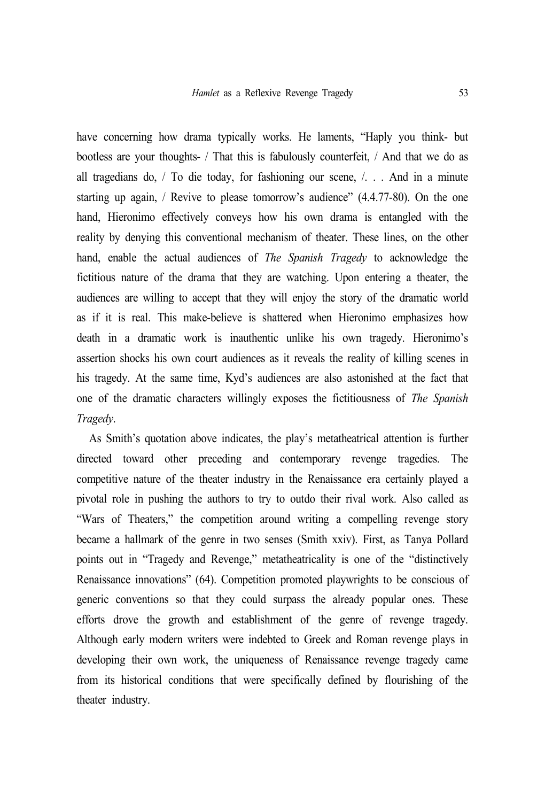have concerning how drama typically works. He laments, "Haply you think- but bootless are your thoughts- / That this is fabulously counterfeit, / And that we do as all tragedians do, / To die today, for fashioning our scene, /. . . And in a minute starting up again, / Revive to please tomorrow's audience" (4.4.77-80). On the one hand, Hieronimo effectively conveys how his own drama is entangled with the reality by denying this conventional mechanism of theater. These lines, on the other hand, enable the actual audiences of *The Spanish Tragedy* to acknowledge the fictitious nature of the drama that they are watching. Upon entering a theater, the audiences are willing to accept that they will enjoy the story of the dramatic world as if it is real. This make-believe is shattered when Hieronimo emphasizes how death in a dramatic work is inauthentic unlike his own tragedy. Hieronimo's assertion shocks his own court audiences as it reveals the reality of killing scenes in his tragedy. At the same time, Kyd's audiences are also astonished at the fact that one of the dramatic characters willingly exposes the fictitiousness of *The Spanish Tragedy*.

As Smith's quotation above indicates, the play's metatheatrical attention is further directed toward other preceding and contemporary revenge tragedies. The competitive nature of the theater industry in the Renaissance era certainly played a pivotal role in pushing the authors to try to outdo their rival work. Also called as "Wars of Theaters," the competition around writing a compelling revenge story became a hallmark of the genre in two senses (Smith xxiv). First, as Tanya Pollard points out in "Tragedy and Revenge," metatheatricality is one of the "distinctively Renaissance innovations" (64). Competition promoted playwrights to be conscious of generic conventions so that they could surpass the already popular ones. These efforts drove the growth and establishment of the genre of revenge tragedy. Although early modern writers were indebted to Greek and Roman revenge plays in developing their own work, the uniqueness of Renaissance revenge tragedy came from its historical conditions that were specifically defined by flourishing of the theater industry.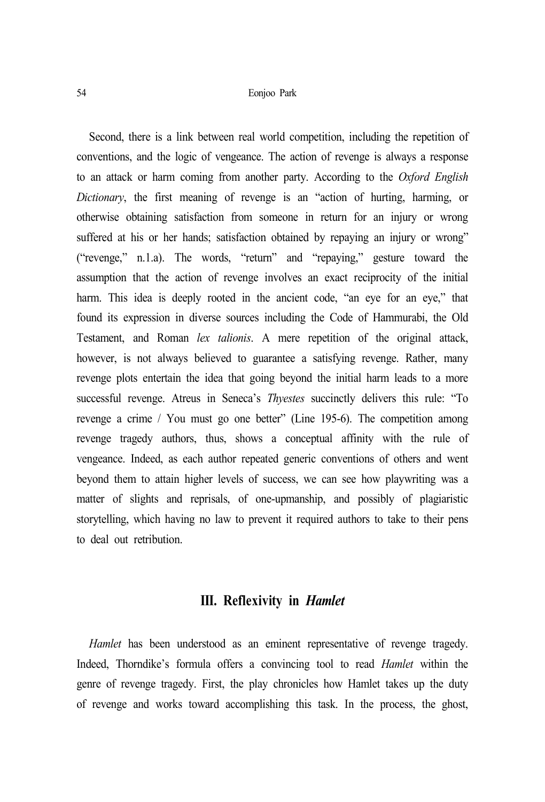Second, there is a link between real world competition, including the repetition of conventions, and the logic of vengeance. The action of revenge is always a response to an attack or harm coming from another party. According to the *Oxford English Dictionary*, the first meaning of revenge is an "action of hurting, harming, or otherwise obtaining satisfaction from someone in return for an injury or wrong suffered at his or her hands; satisfaction obtained by repaying an injury or wrong" ("revenge," n.1.a). The words, "return" and "repaying," gesture toward the assumption that the action of revenge involves an exact reciprocity of the initial harm. This idea is deeply rooted in the ancient code, "an eye for an eye," that found its expression in diverse sources including the Code of Hammurabi, the Old Testament, and Roman *lex talionis*. A mere repetition of the original attack, however, is not always believed to guarantee a satisfying revenge. Rather, many revenge plots entertain the idea that going beyond the initial harm leads to a more successful revenge. Atreus in Seneca's *Thyestes* succinctly delivers this rule: "To revenge a crime / You must go one better" (Line 195-6). The competition among revenge tragedy authors, thus, shows a conceptual affinity with the rule of vengeance. Indeed, as each author repeated generic conventions of others and went beyond them to attain higher levels of success, we can see how playwriting was a matter of slights and reprisals, of one-upmanship, and possibly of plagiaristic storytelling, which having no law to prevent it required authors to take to their pens to deal out retribution.

# **III. Reflexivity in** *Hamlet*

*Hamlet* has been understood as an eminent representative of revenge tragedy. Indeed, Thorndike's formula offers a convincing tool to read *Hamlet* within the genre of revenge tragedy. First, the play chronicles how Hamlet takes up the duty of revenge and works toward accomplishing this task. In the process, the ghost,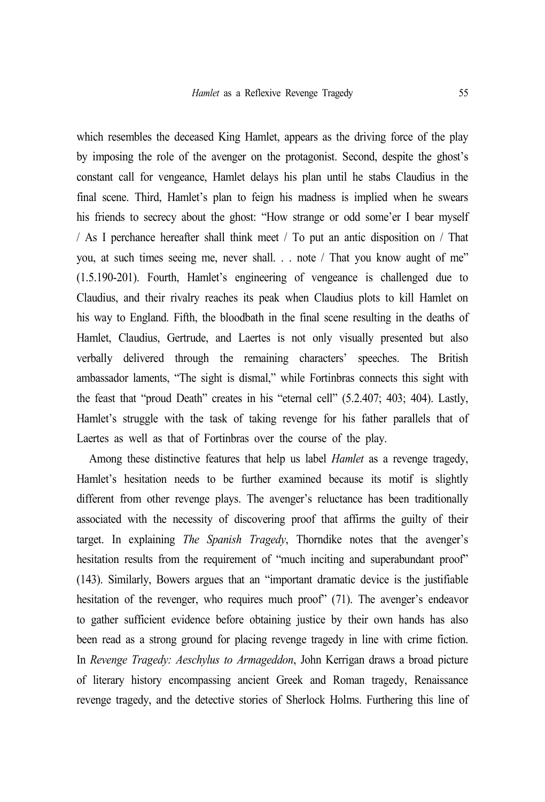which resembles the deceased King Hamlet, appears as the driving force of the play by imposing the role of the avenger on the protagonist. Second, despite the ghost's constant call for vengeance, Hamlet delays his plan until he stabs Claudius in the final scene. Third, Hamlet's plan to feign his madness is implied when he swears his friends to secrecy about the ghost: "How strange or odd some'er I bear myself / As I perchance hereafter shall think meet / To put an antic disposition on / That you, at such times seeing me, never shall. . . note / That you know aught of me" (1.5.190-201). Fourth, Hamlet's engineering of vengeance is challenged due to Claudius, and their rivalry reaches its peak when Claudius plots to kill Hamlet on his way to England. Fifth, the bloodbath in the final scene resulting in the deaths of Hamlet, Claudius, Gertrude, and Laertes is not only visually presented but also verbally delivered through the remaining characters' speeches. The British ambassador laments, "The sight is dismal," while Fortinbras connects this sight with the feast that "proud Death" creates in his "eternal cell" (5.2.407; 403; 404). Lastly, Hamlet's struggle with the task of taking revenge for his father parallels that of Laertes as well as that of Fortinbras over the course of the play.

Among these distinctive features that help us label *Hamlet* as a revenge tragedy, Hamlet's hesitation needs to be further examined because its motif is slightly different from other revenge plays. The avenger's reluctance has been traditionally associated with the necessity of discovering proof that affirms the guilty of their target. In explaining *The Spanish Tragedy*, Thorndike notes that the avenger's hesitation results from the requirement of "much inciting and superabundant proof" (143). Similarly, Bowers argues that an "important dramatic device is the justifiable hesitation of the revenger, who requires much proof" (71). The avenger's endeavor to gather sufficient evidence before obtaining justice by their own hands has also been read as a strong ground for placing revenge tragedy in line with crime fiction. In *Revenge Tragedy: Aeschylus to Armageddon*, John Kerrigan draws a broad picture of literary history encompassing ancient Greek and Roman tragedy, Renaissance revenge tragedy, and the detective stories of Sherlock Holms. Furthering this line of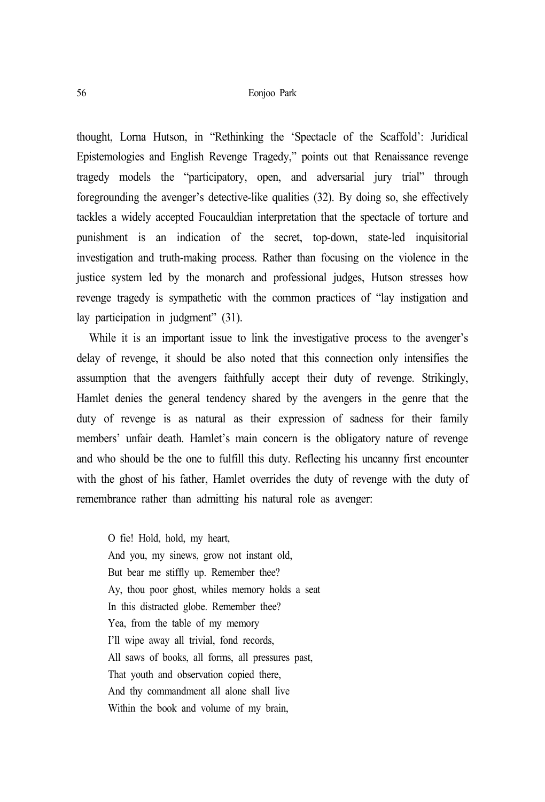thought, Lorna Hutson, in "Rethinking the 'Spectacle of the Scaffold': Juridical Epistemologies and English Revenge Tragedy," points out that Renaissance revenge tragedy models the "participatory, open, and adversarial jury trial" through foregrounding the avenger's detective-like qualities (32). By doing so, she effectively tackles a widely accepted Foucauldian interpretation that the spectacle of torture and punishment is an indication of the secret, top-down, state-led inquisitorial investigation and truth-making process. Rather than focusing on the violence in the justice system led by the monarch and professional judges, Hutson stresses how revenge tragedy is sympathetic with the common practices of "lay instigation and lay participation in judgment" (31).

While it is an important issue to link the investigative process to the avenger's delay of revenge, it should be also noted that this connection only intensifies the assumption that the avengers faithfully accept their duty of revenge. Strikingly, Hamlet denies the general tendency shared by the avengers in the genre that the duty of revenge is as natural as their expression of sadness for their family members' unfair death. Hamlet's main concern is the obligatory nature of revenge and who should be the one to fulfill this duty. Reflecting his uncanny first encounter with the ghost of his father, Hamlet overrides the duty of revenge with the duty of remembrance rather than admitting his natural role as avenger:

O fie! Hold, hold, my heart, And you, my sinews, grow not instant old, But bear me stiffly up. Remember thee? Ay, thou poor ghost, whiles memory holds a seat In this distracted globe. Remember thee? Yea, from the table of my memory I'll wipe away all trivial, fond records, All saws of books, all forms, all pressures past, That youth and observation copied there, And thy commandment all alone shall live Within the book and volume of my brain,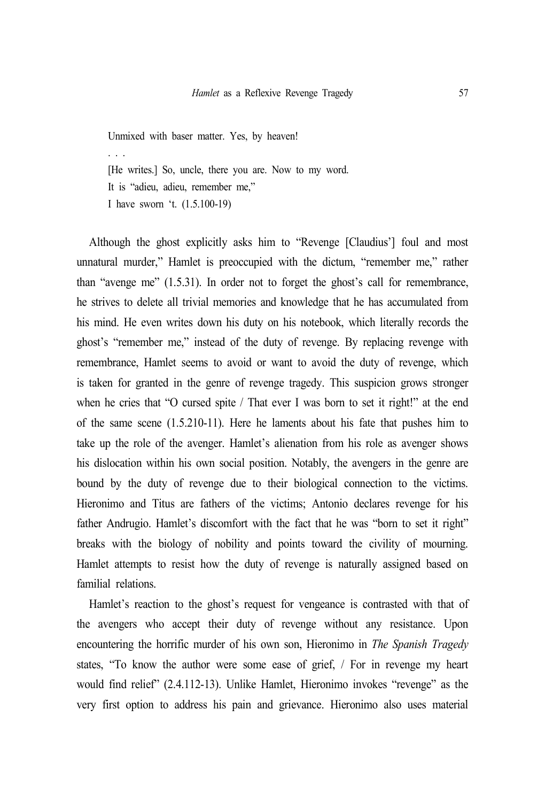Unmixed with baser matter. Yes, by heaven! . . . [He writes.] So, uncle, there you are. Now to my word. It is "adieu, adieu, remember me," I have sworn 't. (1.5.100-19)

Although the ghost explicitly asks him to "Revenge [Claudius'] foul and most unnatural murder," Hamlet is preoccupied with the dictum, "remember me," rather than "avenge me" (1.5.31). In order not to forget the ghost's call for remembrance, he strives to delete all trivial memories and knowledge that he has accumulated from his mind. He even writes down his duty on his notebook, which literally records the ghost's "remember me," instead of the duty of revenge. By replacing revenge with remembrance, Hamlet seems to avoid or want to avoid the duty of revenge, which is taken for granted in the genre of revenge tragedy. This suspicion grows stronger when he cries that "O cursed spite / That ever I was born to set it right!" at the end of the same scene (1.5.210-11). Here he laments about his fate that pushes him to take up the role of the avenger. Hamlet's alienation from his role as avenger shows his dislocation within his own social position. Notably, the avengers in the genre are bound by the duty of revenge due to their biological connection to the victims. Hieronimo and Titus are fathers of the victims; Antonio declares revenge for his father Andrugio. Hamlet's discomfort with the fact that he was "born to set it right" breaks with the biology of nobility and points toward the civility of mourning. Hamlet attempts to resist how the duty of revenge is naturally assigned based on familial relations.

Hamlet's reaction to the ghost's request for vengeance is contrasted with that of the avengers who accept their duty of revenge without any resistance. Upon encountering the horrific murder of his own son, Hieronimo in *The Spanish Tragedy* states, "To know the author were some ease of grief, / For in revenge my heart would find relief" (2.4.112-13). Unlike Hamlet, Hieronimo invokes "revenge" as the very first option to address his pain and grievance. Hieronimo also uses material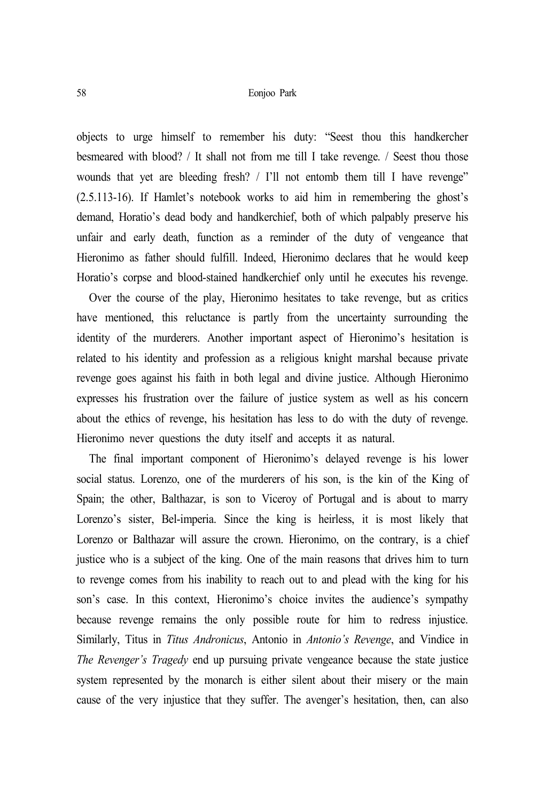objects to urge himself to remember his duty: "Seest thou this handkercher besmeared with blood? / It shall not from me till I take revenge. / Seest thou those wounds that yet are bleeding fresh? / I'll not entomb them till I have revenge" (2.5.113-16). If Hamlet's notebook works to aid him in remembering the ghost's demand, Horatio's dead body and handkerchief, both of which palpably preserve his unfair and early death, function as a reminder of the duty of vengeance that Hieronimo as father should fulfill. Indeed, Hieronimo declares that he would keep Horatio's corpse and blood-stained handkerchief only until he executes his revenge.

Over the course of the play, Hieronimo hesitates to take revenge, but as critics have mentioned, this reluctance is partly from the uncertainty surrounding the identity of the murderers. Another important aspect of Hieronimo's hesitation is related to his identity and profession as a religious knight marshal because private revenge goes against his faith in both legal and divine justice. Although Hieronimo expresses his frustration over the failure of justice system as well as his concern about the ethics of revenge, his hesitation has less to do with the duty of revenge. Hieronimo never questions the duty itself and accepts it as natural.

The final important component of Hieronimo's delayed revenge is his lower social status. Lorenzo, one of the murderers of his son, is the kin of the King of Spain; the other, Balthazar, is son to Viceroy of Portugal and is about to marry Lorenzo's sister, Bel-imperia. Since the king is heirless, it is most likely that Lorenzo or Balthazar will assure the crown. Hieronimo, on the contrary, is a chief justice who is a subject of the king. One of the main reasons that drives him to turn to revenge comes from his inability to reach out to and plead with the king for his son's case. In this context, Hieronimo's choice invites the audience's sympathy because revenge remains the only possible route for him to redress injustice. Similarly, Titus in *Titus Andronicus*, Antonio in *Antonio's Revenge*, and Vindice in *The Revenger's Tragedy* end up pursuing private vengeance because the state justice system represented by the monarch is either silent about their misery or the main cause of the very injustice that they suffer. The avenger's hesitation, then, can also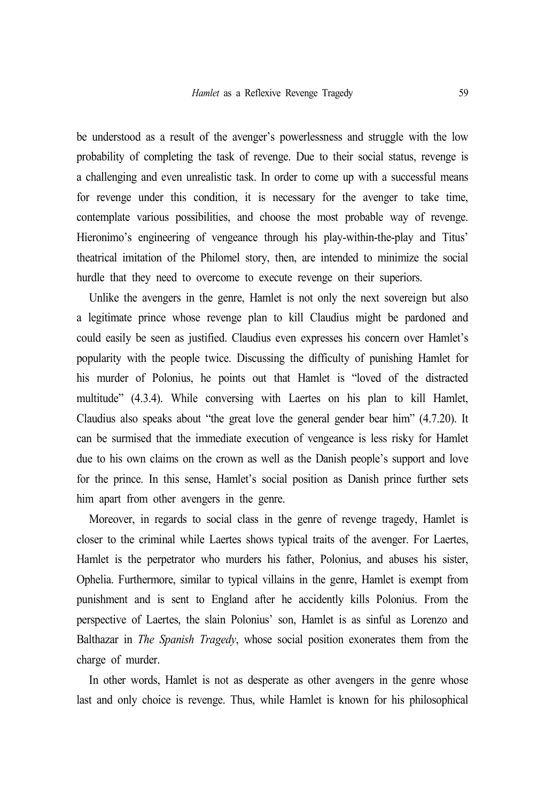be understood as a result of the avenger's powerlessness and struggle with the low probability of completing the task of revenge. Due to their social status, revenge is a challenging and even unrealistic task. In order to come up with a successful means for revenge under this condition, it is necessary for the avenger to take time, contemplate various possibilities, and choose the most probable way of revenge. Hieronimo's engineering of vengeance through his play-within-the-play and Titus' theatrical imitation of the Philomel story, then, are intended to minimize the social hurdle that they need to overcome to execute revenge on their superiors.

Unlike the avengers in the genre, Hamlet is not only the next sovereign but also a legitimate prince whose revenge plan to kill Claudius might be pardoned and could easily be seen as justified. Claudius even expresses his concern over Hamlet's popularity with the people twice. Discussing the difficulty of punishing Hamlet for his murder of Polonius, he points out that Hamlet is "loved of the distracted multitude" (4.3.4). While conversing with Laertes on his plan to kill Hamlet, Claudius also speaks about "the great love the general gender bear him" (4.7.20). It can be surmised that the immediate execution of vengeance is less risky for Hamlet due to his own claims on the crown as well as the Danish people's support and love for the prince. In this sense, Hamlet's social position as Danish prince further sets him apart from other avengers in the genre.

Moreover, in regards to social class in the genre of revenge tragedy, Hamlet is closer to the criminal while Laertes shows typical traits of the avenger. For Laertes, Hamlet is the perpetrator who murders his father, Polonius, and abuses his sister, Ophelia. Furthermore, similar to typical villains in the genre, Hamlet is exempt from punishment and is sent to England after he accidently kills Polonius. From the perspective of Laertes, the slain Polonius' son, Hamlet is as sinful as Lorenzo and Balthazar in *The Spanish Tragedy*, whose social position exonerates them from the charge of murder.

In other words, Hamlet is not as desperate as other avengers in the genre whose last and only choice is revenge. Thus, while Hamlet is known for his philosophical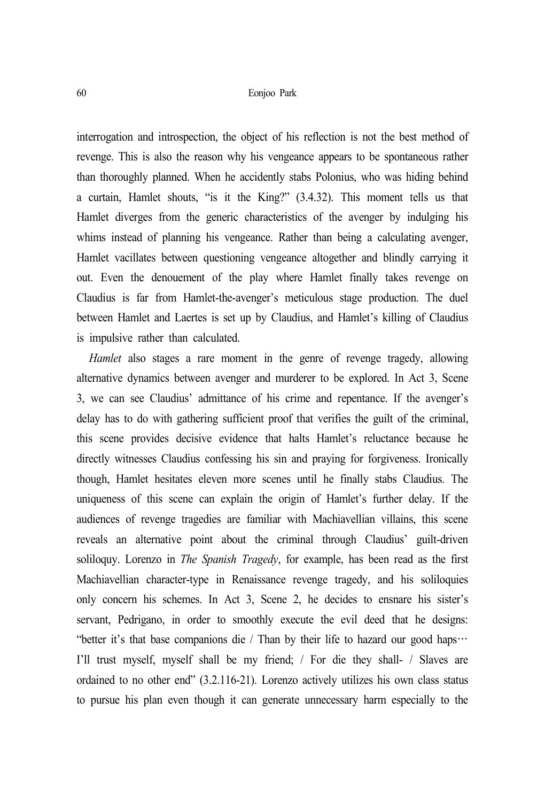interrogation and introspection, the object of his reflection is not the best method of revenge. This is also the reason why his vengeance appears to be spontaneous rather than thoroughly planned. When he accidently stabs Polonius, who was hiding behind a curtain, Hamlet shouts, "is it the King?" (3.4.32). This moment tells us that Hamlet diverges from the generic characteristics of the avenger by indulging his whims instead of planning his vengeance. Rather than being a calculating avenger, Hamlet vacillates between questioning vengeance altogether and blindly carrying it out. Even the denouement of the play where Hamlet finally takes revenge on Claudius is far from Hamlet-the-avenger's meticulous stage production. The duel between Hamlet and Laertes is set up by Claudius, and Hamlet's killing of Claudius is impulsive rather than calculated.

*Hamlet* also stages a rare moment in the genre of revenge tragedy, allowing alternative dynamics between avenger and murderer to be explored. In Act 3, Scene 3, we can see Claudius' admittance of his crime and repentance. If the avenger's delay has to do with gathering sufficient proof that verifies the guilt of the criminal, this scene provides decisive evidence that halts Hamlet's reluctance because he directly witnesses Claudius confessing his sin and praying for forgiveness. Ironically though, Hamlet hesitates eleven more scenes until he finally stabs Claudius. The uniqueness of this scene can explain the origin of Hamlet's further delay. If the audiences of revenge tragedies are familiar with Machiavellian villains, this scene reveals an alternative point about the criminal through Claudius' guilt-driven soliloquy. Lorenzo in *The Spanish Tragedy*, for example, has been read as the first Machiavellian character-type in Renaissance revenge tragedy, and his soliloquies only concern his schemes. In Act 3, Scene 2, he decides to ensnare his sister's servant, Pedrigano, in order to smoothly execute the evil deed that he designs: "better it's that base companions die / Than by their life to hazard our good haps… I'll trust myself, myself shall be my friend; / For die they shall- / Slaves are ordained to no other end" (3.2.116-21). Lorenzo actively utilizes his own class status to pursue his plan even though it can generate unnecessary harm especially to the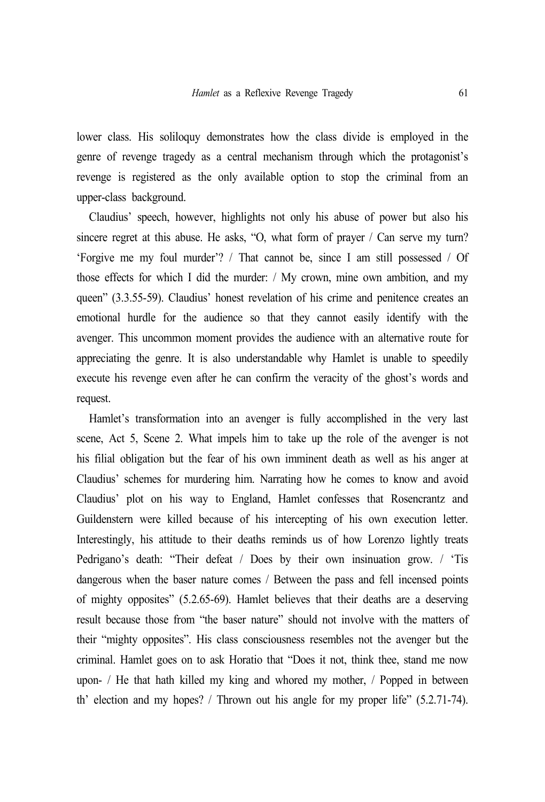lower class. His soliloquy demonstrates how the class divide is employed in the genre of revenge tragedy as a central mechanism through which the protagonist's revenge is registered as the only available option to stop the criminal from an upper-class background.

Claudius' speech, however, highlights not only his abuse of power but also his sincere regret at this abuse. He asks, "O, what form of prayer / Can serve my turn? 'Forgive me my foul murder'? / That cannot be, since I am still possessed / Of those effects for which I did the murder: / My crown, mine own ambition, and my queen" (3.3.55-59). Claudius' honest revelation of his crime and penitence creates an emotional hurdle for the audience so that they cannot easily identify with the avenger. This uncommon moment provides the audience with an alternative route for appreciating the genre. It is also understandable why Hamlet is unable to speedily execute his revenge even after he can confirm the veracity of the ghost's words and request.

Hamlet's transformation into an avenger is fully accomplished in the very last scene, Act 5, Scene 2. What impels him to take up the role of the avenger is not his filial obligation but the fear of his own imminent death as well as his anger at Claudius' schemes for murdering him. Narrating how he comes to know and avoid Claudius' plot on his way to England, Hamlet confesses that Rosencrantz and Guildenstern were killed because of his intercepting of his own execution letter. Interestingly, his attitude to their deaths reminds us of how Lorenzo lightly treats Pedrigano's death: "Their defeat / Does by their own insinuation grow. / 'Tis dangerous when the baser nature comes / Between the pass and fell incensed points of mighty opposites" (5.2.65-69). Hamlet believes that their deaths are a deserving result because those from "the baser nature" should not involve with the matters of their "mighty opposites". His class consciousness resembles not the avenger but the criminal. Hamlet goes on to ask Horatio that "Does it not, think thee, stand me now upon- / He that hath killed my king and whored my mother, / Popped in between th' election and my hopes? / Thrown out his angle for my proper life" (5.2.71-74).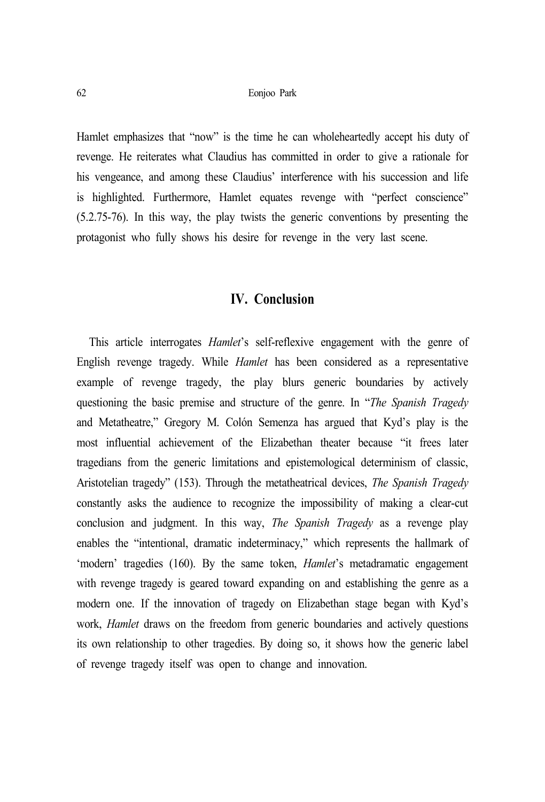Hamlet emphasizes that "now" is the time he can wholeheartedly accept his duty of revenge. He reiterates what Claudius has committed in order to give a rationale for his vengeance, and among these Claudius' interference with his succession and life is highlighted. Furthermore, Hamlet equates revenge with "perfect conscience" (5.2.75-76). In this way, the play twists the generic conventions by presenting the protagonist who fully shows his desire for revenge in the very last scene.

## **IV. Conclusion**

This article interrogates *Hamlet*'s self-reflexive engagement with the genre of English revenge tragedy. While *Hamlet* has been considered as a representative example of revenge tragedy, the play blurs generic boundaries by actively questioning the basic premise and structure of the genre. In "*The Spanish Tragedy* and Metatheatre," Gregory M. Colón Semenza has argued that Kyd's play is the most influential achievement of the Elizabethan theater because "it frees later tragedians from the generic limitations and epistemological determinism of classic, Aristotelian tragedy" (153). Through the metatheatrical devices, *The Spanish Tragedy*  constantly asks the audience to recognize the impossibility of making a clear-cut conclusion and judgment. In this way, *The Spanish Tragedy* as a revenge play enables the "intentional, dramatic indeterminacy," which represents the hallmark of 'modern' tragedies (160). By the same token, *Hamlet*'s metadramatic engagement with revenge tragedy is geared toward expanding on and establishing the genre as a modern one. If the innovation of tragedy on Elizabethan stage began with Kyd's work, *Hamlet* draws on the freedom from generic boundaries and actively questions its own relationship to other tragedies. By doing so, it shows how the generic label of revenge tragedy itself was open to change and innovation.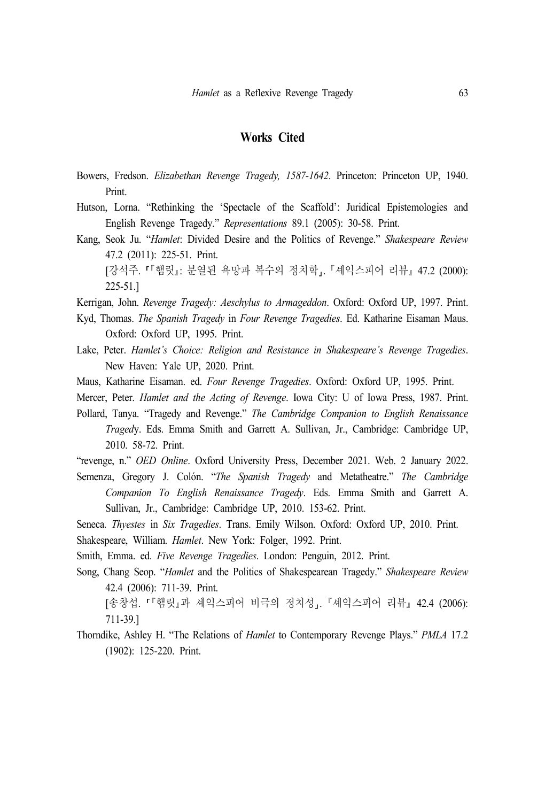#### **Works Cited**

- Bowers, Fredson. *Elizabethan Revenge Tragedy, 1587-1642*. Princeton: Princeton UP, 1940. Print.
- Hutson, Lorna. "Rethinking the 'Spectacle of the Scaffold': Juridical Epistemologies and English Revenge Tragedy." *Representations* 89.1 (2005): 30-58. Print.
- Kang, Seok Ju. "*Hamlet*: Divided Desire and the Politics of Revenge." *Shakespeare Review* 47.2 (2011): 225-51. Print.

[강석주. 『햄릿』: 분열된 욕망과 복수의 정치학,. 『셰익스피어 리뷰』 47.2 (2000): 225-51.]

- Kerrigan, John. *Revenge Tragedy: Aeschylus to Armageddon*. Oxford: Oxford UP, 1997. Print.
- Kyd, Thomas. *The Spanish Tragedy* in *Four Revenge Tragedies*. Ed. Katharine Eisaman Maus. Oxford: Oxford UP, 1995. Print.
- Lake, Peter. *Hamlet's Choice: Religion and Resistance in Shakespeare's Revenge Tragedies*. New Haven: Yale UP, 2020. Print.
- Maus, Katharine Eisaman. ed. *Four Revenge Tragedies*. Oxford: Oxford UP, 1995. Print.
- Mercer, Peter. *Hamlet and the Acting of Revenge*. Iowa City: U of Iowa Press, 1987. Print.
- Pollard, Tanya. "Tragedy and Revenge." *The Cambridge Companion to English Renaissance Traged*y. Eds. Emma Smith and Garrett A. Sullivan, Jr., Cambridge: Cambridge UP, 2010. 58-72. Print.
- "revenge, n." *OED Online*. Oxford University Press, December 2021. Web. 2 January 2022.
- Semenza, Gregory J. Colón. "*The Spanish Tragedy* and Metatheatre." *The Cambridge Companion To English Renaissance Tragedy*. Eds. Emma Smith and Garrett A. Sullivan, Jr., Cambridge: Cambridge UP, 2010. 153-62. Print.

Seneca. *Thyestes* in *Six Tragedies*. Trans. Emily Wilson. Oxford: Oxford UP, 2010. Print. Shakespeare, William. *Hamlet*. New York: Folger, 1992. Print.

Smith, Emma. ed. *Five Revenge Tragedies*. London: Penguin, 2012. Print.

Song, Chang Seop. "*Hamlet* and the Politics of Shakespearean Tragedy." *Shakespeare Review* 42.4 (2006): 711-39. Print.

[송창섭. 『'햄릿』과 셰익스피어 비극의 정치성」. 『셰익스피어 리뷰』 42.4 (2006): 711-39.]

Thorndike, Ashley H. "The Relations of *Hamlet* to Contemporary Revenge Plays." *PMLA* 17.2 (1902): 125-220. Print.